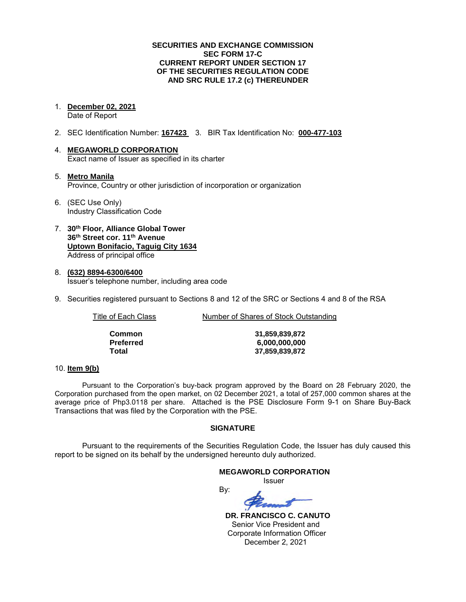### **SECURITIES AND EXCHANGE COMMISSION SEC FORM 17-C CURRENT REPORT UNDER SECTION 17 OF THE SECURITIES REGULATION CODE AND SRC RULE 17.2 (c) THEREUNDER**

1. **December 02, 2021** 

Date of Report

- 2. SEC Identification Number: **167423** 3. BIR Tax Identification No: **000-477-103**
- 4. **MEGAWORLD CORPORATION**  Exact name of Issuer as specified in its charter
- 5. **Metro Manila** Province, Country or other jurisdiction of incorporation or organization
- 6. (SEC Use Only) Industry Classification Code
- 7. **30th Floor, Alliance Global Tower 36th Street cor. 11th Avenue Uptown Bonifacio, Taguig City 1634** Address of principal office
- 8. **(632) 8894-6300/6400**  Issuer's telephone number, including area code
- 9. Securities registered pursuant to Sections 8 and 12 of the SRC or Sections 4 and 8 of the RSA

Title of Each Class **Number of Shares of Stock Outstanding** 

| Common    |  |
|-----------|--|
| Preferred |  |
| Total     |  |

**Common 31,859,839,872 Preferred 6,000,000,000 Total 37,859,839,872**

# 10. **Item 9(b)**

Pursuant to the Corporation's buy-back program approved by the Board on 28 February 2020, the Corporation purchased from the open market, on 02 December 2021, a total of 257,000 common shares at the average price of Php3.0118 per share. Attached is the PSE Disclosure Form 9-1 on Share Buy-Back Transactions that was filed by the Corporation with the PSE.

# **SIGNATURE**

Pursuant to the requirements of the Securities Regulation Code, the Issuer has duly caused this report to be signed on its behalf by the undersigned hereunto duly authorized.

#### **MEGAWORLD CORPORATION**

*<u>Issuer</u> Issuer Issuer* 

By:

 **DR. FRANCISCO C. CANUTO**  Senior Vice President and Corporate Information Officer December 2, 2021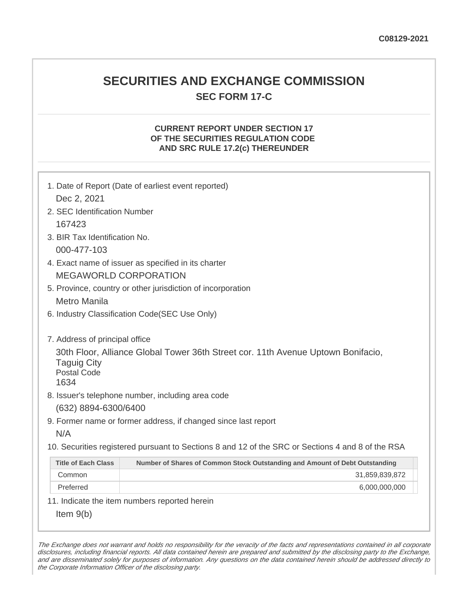# **SECURITIES AND EXCHANGE COMMISSION SEC FORM 17-C**

# **CURRENT REPORT UNDER SECTION 17 OF THE SECURITIES REGULATION CODE AND SRC RULE 17.2(c) THEREUNDER**

| Dec 2, 2021                                      | 1. Date of Report (Date of earliest event reported)                                               |
|--------------------------------------------------|---------------------------------------------------------------------------------------------------|
| 2. SEC Identification Number                     |                                                                                                   |
| 167423                                           |                                                                                                   |
| 3. BIR Tax Identification No.                    |                                                                                                   |
| 000-477-103                                      |                                                                                                   |
|                                                  | 4. Exact name of issuer as specified in its charter                                               |
|                                                  | <b>MEGAWORLD CORPORATION</b>                                                                      |
|                                                  | 5. Province, country or other jurisdiction of incorporation                                       |
| <b>Metro Manila</b>                              |                                                                                                   |
|                                                  | 6. Industry Classification Code(SEC Use Only)                                                     |
|                                                  |                                                                                                   |
| 7. Address of principal office                   |                                                                                                   |
| <b>Taguig City</b><br><b>Postal Code</b><br>1634 | 30th Floor, Alliance Global Tower 36th Street cor. 11th Avenue Uptown Bonifacio,                  |
|                                                  | 8. Issuer's telephone number, including area code                                                 |
| (632) 8894-6300/6400                             |                                                                                                   |
|                                                  | 9. Former name or former address, if changed since last report                                    |
| N/A                                              |                                                                                                   |
|                                                  | 10. Securities registered pursuant to Sections 8 and 12 of the SRC or Sections 4 and 8 of the RSA |
| <b>Title of Each Class</b>                       | Number of Shares of Common Stock Outstanding and Amount of Debt Outstanding                       |
| Common                                           | 31,859,839,872                                                                                    |
| Preferred                                        | 6,000,000,000                                                                                     |
|                                                  | 11. Indicate the item numbers reported herein                                                     |
| Item $9(b)$                                      |                                                                                                   |

The Exchange does not warrant and holds no responsibility for the veracity of the facts and representations contained in all corporate disclosures, including financial reports. All data contained herein are prepared and submitted by the disclosing party to the Exchange, and are disseminated solely for purposes of information. Any questions on the data contained herein should be addressed directly to the Corporate Information Officer of the disclosing party.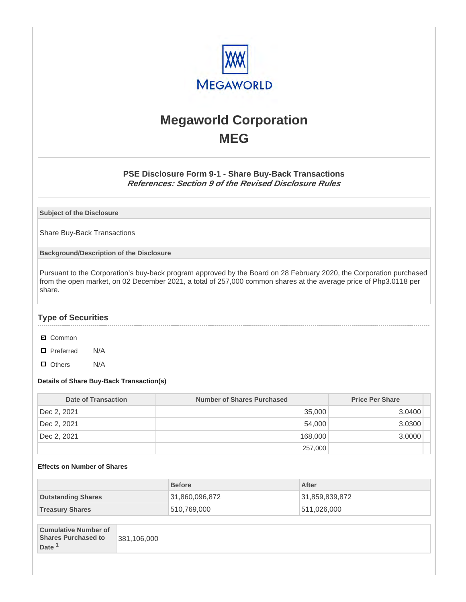

# **Megaworld Corporation MEG**

# **PSE Disclosure Form 9-1 - Share Buy-Back Transactions References: Section 9 of the Revised Disclosure Rules**

**Subject of the Disclosure**

Share Buy-Back Transactions

**Background/Description of the Disclosure**

Pursuant to the Corporation's buy-back program approved by the Board on 28 February 2020, the Corporation purchased from the open market, on 02 December 2021, a total of 257,000 common shares at the average price of Php3.0118 per share.

# **Type of Securities**

- **☑** Common
- □ Preferred N/A
- D Others N/A

### **Details of Share Buy-Back Transaction(s)**

| Date of Transaction | <b>Number of Shares Purchased</b> | <b>Price Per Share</b> |
|---------------------|-----------------------------------|------------------------|
| Dec 2, 2021         | 35,000                            | 3.0400                 |
| Dec 2, 2021         | 54.000                            | 3.0300                 |
| Dec 2, 2021         | 168,000                           | 3.0000                 |
|                     | 257,000                           |                        |

### **Effects on Number of Shares**

|                           | <b>Before</b>  | After          |
|---------------------------|----------------|----------------|
| <b>Outstanding Shares</b> | 31,860,096,872 | 31,859,839,872 |
| <b>Treasury Shares</b>    | 510,769,000    | 511,026,000    |
|                           |                |                |

| <b>Cumulative Number of</b><br><b>Shares Purchased to</b> | 381.106.000 |
|-----------------------------------------------------------|-------------|
| Date <sup>1</sup>                                         |             |